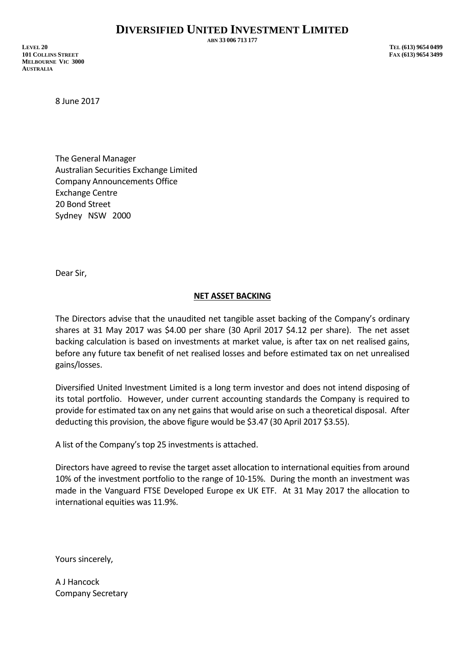**ABN 33 006 713 177**

**LEVEL 20 TEL (613) 9654 0499 101 COLLINS STREET FAX (613) 9654 3499 MELBOURNE VIC 3000 AUSTRALIA**

8 June 2017

The General Manager Australian Securities Exchange Limited Company Announcements Office Exchange Centre 20 Bond Street Sydney NSW 2000

Dear Sir,

## **NET ASSET BACKING**

The Directors advise that the unaudited net tangible asset backing of the Company's ordinary shares at 31 May 2017 was \$4.00 per share (30 April 2017 \$4.12 per share). The net asset backing calculation is based on investments at market value, is after tax on net realised gains, before any future tax benefit of net realised losses and before estimated tax on net unrealised gains/losses.

Diversified United Investment Limited is a long term investor and does not intend disposing of its total portfolio. However, under current accounting standards the Company is required to provide for estimated tax on any net gains that would arise on such a theoretical disposal. After deducting this provision, the above figure would be \$3.47 (30 April 2017 \$3.55).

A list of the Company's top 25 investments is attached.

Directors have agreed to revise the target asset allocation to international equities from around 10% of the investment portfolio to the range of 10-15%. During the month an investment was made in the Vanguard FTSE Developed Europe ex UK ETF. At 31 May 2017 the allocation to international equities was 11.9%.

Yours sincerely,

A J Hancock Company Secretary